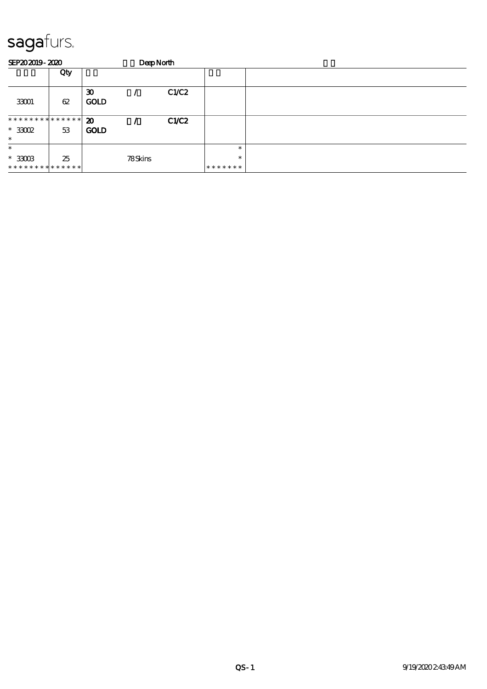| SEP202019-2020                          |     |                                            | DeepNorth |       |                   |  |
|-----------------------------------------|-----|--------------------------------------------|-----------|-------|-------------------|--|
|                                         | Qty |                                            |           |       |                   |  |
| 33001                                   | 62  | $\boldsymbol{\mathfrak{D}}$<br><b>GOLD</b> |           | C1/C2 |                   |  |
| **************<br>$*3002$               | 53  | $\boldsymbol{\mathfrak{D}}$<br><b>GOLD</b> |           | CLC2  |                   |  |
| $\ast$<br>$\ast$                        |     |                                            |           |       | $\ast$            |  |
| $*33003$<br>* * * * * * * * * * * * * * | 25  |                                            | 78Skins   |       | $\ast$<br>******* |  |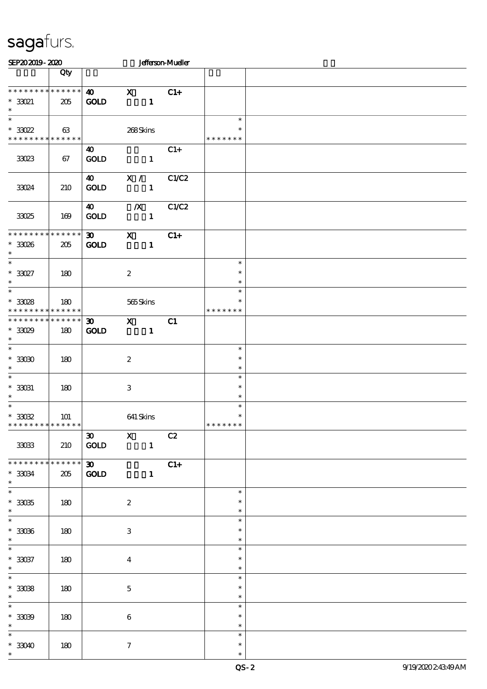| SEP202019-2020                                                             |                    |                                            |                           |                | <b>Jefferson-Mueller</b> |                                   |  |
|----------------------------------------------------------------------------|--------------------|--------------------------------------------|---------------------------|----------------|--------------------------|-----------------------------------|--|
|                                                                            | Qty                |                                            |                           |                |                          |                                   |  |
| * * * * * * * * * * * * * *<br>$*33021$<br>$\ast$                          | 205                | $\boldsymbol{\omega}$<br><b>GOLD</b>       | $\mathbf{x}$              | $\mathbf{1}$   | $C1+$                    |                                   |  |
| $\overline{\ast}$<br>$^*$ 33022<br>* * * * * * * * * * * * * *             | 63                 |                                            | 268Skins                  |                |                          | $\ast$<br>$\ast$<br>* * * * * * * |  |
| 33023                                                                      | 67                 | 40<br>GOLD                                 |                           | $\mathbf{1}$   | $C1+$                    |                                   |  |
| 33024                                                                      | 210                | $\boldsymbol{\omega}$<br>GOLD              | X /                       | $\mathbf{1}$   | C1/C2                    |                                   |  |
| 33025                                                                      | 169                | 40<br><b>GOLD</b>                          | $\boldsymbol{X}$          | $\blacksquare$ | C1/C2                    |                                   |  |
| * * * * * * * *<br>$^\ast$ 33026<br>$\ast$                                 | * * * * * *<br>205 | $\boldsymbol{\mathfrak{D}}$<br><b>GOLD</b> | $\mathbf{x}$              | $\mathbf{1}$   | $C1+$                    |                                   |  |
| $\overline{\phantom{0}}$<br>$^*$ 33027 $\,$<br>$\ast$                      | 180                |                                            | $\boldsymbol{2}$          |                |                          | $\ast$<br>$\ast$<br>$\ast$        |  |
| $\overline{\ast}$<br>$^\ast$ 33028<br>* * * * * * * * * * * * * *          | 180                |                                            | 565Skins                  |                |                          | $\ast$<br>$\ast$<br>* * * * * * * |  |
| * * * * * * * *<br>$^*$ 33029<br>$\ast$                                    | * * * * * *<br>180 | 30 <sub>o</sub><br>$\mathbf{GOLD}$         | $\mathbf{x}$              | $\mathbf{1}$   | C1                       |                                   |  |
| $\ast$<br>$^\ast$ 33030<br>$\ast$                                          | 180                |                                            | $\boldsymbol{z}$          |                |                          | $\ast$<br>$\ast$<br>$\ast$        |  |
| $\overline{\phantom{a}^*}$<br>$^*$ 33031<br>$\ast$                         | 180                |                                            | $\ensuremath{\mathsf{3}}$ |                |                          | $\ast$<br>$\ast$<br>$\ast$        |  |
| $\overline{\phantom{a}^*}$<br>$^\ast$ 33032<br>* * * * * * * * * * * * * * | 101                |                                            | 641 Skins                 |                |                          | $\ast$<br>$\ast$<br>* * * * * * * |  |
| 33033                                                                      | 210                | $\boldsymbol{\mathfrak{D}}$<br>GOLD        | $\mathbf{X}$              | $\mathbf{1}$   | C2                       |                                   |  |
| * * * * * * * * * * * * * *<br>$^\ast$ 33034<br>$\ast$                     | 205                | $\overline{\mathbf{30}}$<br><b>GOLD</b>    |                           | $\mathbf{1}$   | $C1+$                    |                                   |  |
| $\overline{\phantom{0}}$<br>$^\ast$ 33035<br>$\ast$                        | 180                |                                            | $\boldsymbol{2}$          |                |                          | $\ast$<br>$\ast$<br>$\ast$        |  |
| $^\ast$ 33036<br>$\ast$                                                    | 180                |                                            | 3                         |                |                          | $\ast$<br>$\ast$<br>$\ast$        |  |
| $^\ast$ 33037<br>$\ast$                                                    | 180                |                                            | $\bf{4}$                  |                |                          | $\ast$<br>$\ast$<br>$\ast$        |  |
| $\overline{\phantom{0}}$<br>$^\ast$ 33038<br>$\ast$                        | 180                |                                            | $\mathbf{5}$              |                |                          | $\ast$<br>$\ast$<br>$\ast$        |  |
| $\overline{\phantom{0}}$<br>$^\ast$ 33039<br>$\ast$                        | 180                |                                            | $6\phantom{.}6$           |                |                          | $\ast$<br>$\ast$<br>$\ast$        |  |
| $\ast$<br>$*33040$<br>$\ast$                                               | 180                |                                            | $\tau$                    |                |                          | $\ast$<br>$\ast$<br>$\ast$        |  |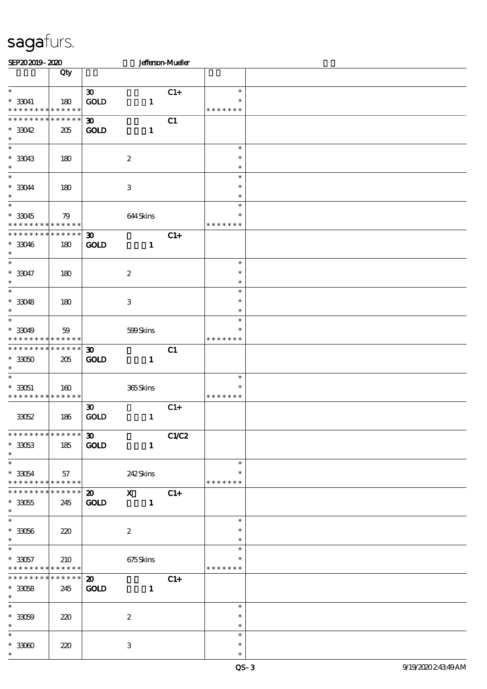| SEP202019-2020                               |                       |                             |                         | <b>Jefferson-Mueller</b> |                  |  |
|----------------------------------------------|-----------------------|-----------------------------|-------------------------|--------------------------|------------------|--|
|                                              | Qty                   |                             |                         |                          |                  |  |
| $\ast$                                       |                       | $\boldsymbol{\mathfrak{D}}$ |                         | $C1+$                    | $\ast$           |  |
| $* 33041$                                    | 180                   | GOLD                        | $\mathbf{1}$            |                          | $\ast$           |  |
| * * * * * * * * * * * * * *                  |                       |                             |                         |                          | * * * * * * *    |  |
| ******** <mark>******</mark>                 |                       | $\boldsymbol{\mathfrak{D}}$ |                         | C1                       |                  |  |
| $*3042$                                      | 205                   | <b>GOLD</b>                 | $\mathbf{1}$            |                          |                  |  |
| $\ast$<br>$\ast$                             |                       |                             |                         |                          | $\ast$           |  |
| $*33043$                                     | 180                   |                             | $\boldsymbol{2}$        |                          | $\ast$           |  |
| $\ast$                                       |                       |                             |                         |                          | $\ast$           |  |
| $\overline{\ast}$                            |                       |                             |                         |                          | $\ast$           |  |
| $^*$ 33044 $\,$                              | 180                   |                             | $\,3$                   |                          | $\ast$           |  |
| $\ast$<br>$\ast$                             |                       |                             |                         |                          | $\ast$           |  |
| $*33045$                                     |                       |                             |                         |                          | $\ast$<br>$\ast$ |  |
| * * * * * * * * <mark>* * * * * *</mark>     | 79                    |                             | 644Skins                |                          | * * * * * * *    |  |
| * * * * * * * *                              | * * * * * *           | $\boldsymbol{\mathfrak{D}}$ |                         | $C1+$                    |                  |  |
| $*33046$                                     | 180                   | <b>GOLD</b>                 | $\mathbf{1}$            |                          |                  |  |
| $\ast$                                       |                       |                             |                         |                          |                  |  |
| $\overline{\phantom{0}}$                     |                       |                             |                         |                          | $\ast$           |  |
| $* 33047$<br>$\ast$                          | 180                   |                             | $\boldsymbol{2}$        |                          | $\ast$<br>$\ast$ |  |
| $\ast$                                       |                       |                             |                         |                          | $\ast$           |  |
| $*33048$                                     | 180                   |                             | $\,3\,$                 |                          | $\ast$           |  |
| $\ast$                                       |                       |                             |                         |                          | $\ast$           |  |
| $\ast$                                       |                       |                             |                         |                          | $\ast$           |  |
| $* 33049$<br>* * * * * * * *                 | 59<br>$* * * * * * *$ |                             | 599Skins                |                          | $\ast$           |  |
| ******** <mark>******</mark>                 |                       | $\boldsymbol{\mathfrak{D}}$ |                         | C1                       | * * * * * * *    |  |
| $^\ast$ 33050                                | 205                   | <b>GOLD</b>                 | $\mathbf{1}$            |                          |                  |  |
| $\ast$                                       |                       |                             |                         |                          |                  |  |
| $\ast$                                       |                       |                             |                         |                          | $\ast$           |  |
| $*33051$                                     | 160                   |                             | 365Skins                |                          | *                |  |
| * * * * * * * * * * * * * *                  |                       | $\boldsymbol{\mathfrak{D}}$ |                         | $C1+$                    | * * * * * * *    |  |
| 33052                                        | 186                   | GOLD                        | $\mathbf{1}$            |                          |                  |  |
|                                              |                       |                             |                         |                          |                  |  |
| **************                               |                       | $30-1$                      |                         | C1/C2                    |                  |  |
| $^\ast$ 33053                                | 185                   | <b>GOLD</b>                 | $\mathbf{1}$            |                          |                  |  |
| $\ast$<br>$\overline{\phantom{0}}$           |                       |                             |                         |                          | $\ast$           |  |
| $^\ast$ 33054                                | 57                    |                             | 242Skins                |                          | $\ast$           |  |
| * * * * * * * * * * * * * * *                |                       |                             |                         |                          | * * * * * * *    |  |
| * * * * * * * *                              | $******$              | $\boldsymbol{\mathsf{20}}$  | $\overline{\mathbf{x}}$ | $C1+$                    |                  |  |
| $^\ast$ 33055                                | 245                   | <b>GOLD</b>                 | $\sim$ 1                |                          |                  |  |
| $\ast$<br>$\overline{\phantom{0}}$           |                       |                             |                         |                          | $\ast$           |  |
| $^\ast$ 33056                                | 220                   |                             | $\boldsymbol{2}$        |                          | $\ast$           |  |
| $\ast$                                       |                       |                             |                         |                          | $\ast$           |  |
| $\overline{\phantom{0}}$                     |                       |                             |                         |                          | $\ast$           |  |
| $*33057$                                     | 210                   |                             | 675Skins                |                          |                  |  |
| * * * * * * * * * * * * * *<br>* * * * * * * | $******$              | $\boldsymbol{\mathfrak{D}}$ |                         | $C1+$                    | * * * * * * *    |  |
| $*3058$                                      | 245                   | <b>GOLD</b>                 | $\mathbf{1}$            |                          |                  |  |
| $\ast$                                       |                       |                             |                         |                          |                  |  |
| $\overline{\phantom{0}}$                     |                       |                             |                         |                          | $\ast$           |  |
| $^\ast$ 33059                                | 220                   |                             | $\boldsymbol{2}$        |                          | $\ast$           |  |
| $\ast$<br>$\overline{\ast}$                  |                       |                             |                         |                          | $\ast$<br>$\ast$ |  |
| $^\ast$ 33060                                | 220                   |                             | 3                       |                          | $\ast$           |  |
| $\ast$                                       |                       |                             |                         |                          | $\ast$           |  |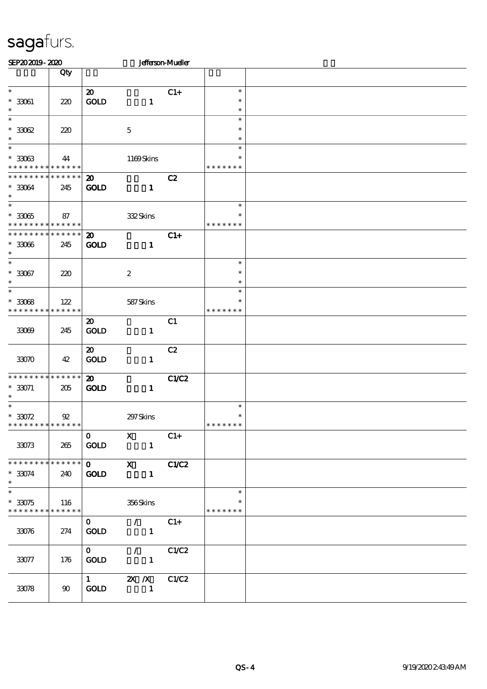| SEP202019-2020                                           |                    |                                            |                                | <b>Jefferson-Mueller</b> |                                   |  |
|----------------------------------------------------------|--------------------|--------------------------------------------|--------------------------------|--------------------------|-----------------------------------|--|
|                                                          | Qty                |                                            |                                |                          |                                   |  |
| $\ast$<br>$^\ast$ 33061<br>$\ast$                        | 220                | $\boldsymbol{\mathfrak{D}}$<br>GOLD        | $\mathbf{1}$                   | $C1+$                    | $\ast$<br>$\ast$<br>$\ast$        |  |
| $\ast$<br>$^\ast$ 33062<br>$\ast$                        | 220                |                                            | $\mathbf{5}$                   |                          | $\ast$<br>$\ast$<br>$\ast$        |  |
| $\ast$<br>$^*$ 33063 $\,$<br>* * * * * * * * * * * * * * | 44                 |                                            | 1169Skins                      |                          | $\ast$<br>$\ast$<br>* * * * * * * |  |
| * * * * * * * * * * * * * *<br>$* 33064$<br>$\ast$       | 245                | $\boldsymbol{\mathfrak{D}}$<br><b>GOLD</b> | $\mathbf{1}$                   | C2                       |                                   |  |
| $\ast$<br>$^\ast$ 33065<br>* * * * * * * * * * * * * *   | 87                 |                                            | 332Skins                       |                          | $\ast$<br>*<br>* * * * * * *      |  |
| * * * * * * * *<br>$* 33066$<br>$\ast$                   | * * * * * *<br>245 | $\boldsymbol{\mathfrak{D}}$<br><b>GOLD</b> | $\mathbf{1}$                   | $C1+$                    |                                   |  |
| $\overline{\ast}$<br>$* 33067$<br>$\ast$                 | 220                |                                            | $\boldsymbol{2}$               |                          | $\ast$<br>$\ast$<br>$\ast$        |  |
| $\ast$<br>$*3008$<br>* * * * * * * *                     | 122<br>* * * * * * |                                            | 587Skins                       |                          | $\ast$<br>$\ast$<br>* * * * * * * |  |
| 33069                                                    | 245                | $\boldsymbol{\mathfrak{D}}$<br>GOLD        | $\mathbf{1}$                   | C1                       |                                   |  |
| 33070                                                    | 42                 | $\boldsymbol{\mathfrak{D}}$<br>GOLD        | $\mathbf{1}$                   | C2                       |                                   |  |
| * * * * * * * * * * * * * *<br>$* 33071$<br>$\ast$       | 205                | $\boldsymbol{\mathbf{z}}$<br><b>GOLD</b>   | $\mathbf{1}$                   | C1/C2                    |                                   |  |
| $\ast$<br>$*3072$<br>* * * * * * * * * * * * * *         | $\mathfrak{P}$     |                                            | 297 Skins                      |                          | $\ast$<br>$\ast$<br>* * * * * * * |  |
| 33073                                                    | 265                | $\mathbf{O}$<br>GOLD                       | $\mathbf X$<br>$\mathbf{1}$    | $C1+$                    |                                   |  |
| * * * * * * * * * * * * * *<br>$* 33074$<br>$\ast$       | 240                | $\mathbf{O}$<br>$\mathop{\rm GOD}$         | $\mathbf{X}$<br>$\mathbf{1}$   | C1/C2                    |                                   |  |
| $\ast$<br>$*3075$<br>* * * * * * * *                     | 116<br>* * * * * * |                                            | 356Skins                       |                          | $\ast$<br>$\ast$<br>* * * * * * * |  |
| 33076                                                    | 274                | $\mathbf{O}$<br>GOLD                       | $\mathcal{L}$<br>$\mathbf{1}$  | $C1+$                    |                                   |  |
| 33077                                                    | 176                | $\mathbf{0}$<br><b>GOLD</b>                | $\mathcal{L}$<br>$\mathbf{1}$  | C1/C2                    |                                   |  |
| 33078                                                    | 90                 | $1 \quad \blacksquare$<br><b>GOLD</b>      | $2X$ $\Lambda$<br>$\mathbf{1}$ | C1/C2                    |                                   |  |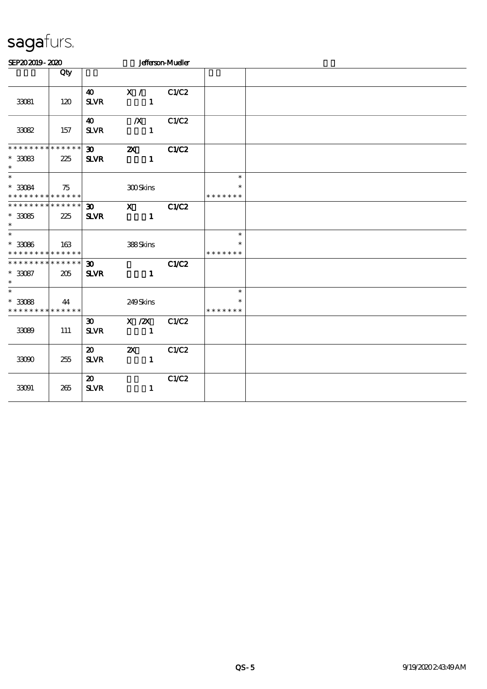| SEP202019-2020                                                           |     |                                            |                                                                                                         | <b>Jefferson-Mueller</b> |                                   |  |
|--------------------------------------------------------------------------|-----|--------------------------------------------|---------------------------------------------------------------------------------------------------------|--------------------------|-----------------------------------|--|
|                                                                          | Qty |                                            |                                                                                                         |                          |                                   |  |
| 33081                                                                    | 120 | $\boldsymbol{\omega}$<br><b>SLVR</b>       | X /<br>$\mathbf{1}$                                                                                     | C1/C2                    |                                   |  |
| 33082                                                                    | 157 | 40<br><b>SLVR</b>                          | $\boldsymbol{X}$<br>$\mathbf{1}$                                                                        | C1/C2                    |                                   |  |
| ******** <mark>*******</mark><br>$^*$ 33083 $\,$<br>$\ast$               | 225 | $\infty$<br><b>SLVR</b>                    | $\boldsymbol{\mathsf{X}}$<br>$\mathbf{1}$                                                               | C1/C2                    |                                   |  |
| $\ast$<br>$*3084$<br>* * * * * * * * * * * * * *                         | 75  |                                            | 300Skins                                                                                                |                          | $\ast$<br>$\ast$<br>* * * * * * * |  |
| * * * * * * * * * * * * * * *<br>$^\ast$ 33085<br>$\ast$                 | 225 | $\boldsymbol{\mathfrak{D}}$<br><b>SLVR</b> | $\boldsymbol{\mathrm{X}}$ and $\boldsymbol{\mathrm{X}}$ and $\boldsymbol{\mathrm{X}}$<br>$\blacksquare$ | C1/C2                    |                                   |  |
| $\overline{\phantom{0}}$<br>$^\ast$ 33086<br>* * * * * * * * * * * * * * | 163 |                                            | 388Skins                                                                                                |                          | $\ast$<br>* * * * * * *           |  |
| * * * * * * * * * * * * * * *<br>$* 33087$<br>$\ast$                     | 205 | 30 <sup>1</sup><br><b>SLVR</b>             | $\mathbf{1}$                                                                                            | C1/C2                    |                                   |  |
| $\ast$<br>$*3088$<br>* * * * * * * * * * * * * * *                       | 44  |                                            | 249Skins                                                                                                |                          | $\ast$<br>$\ast$<br>* * * * * * * |  |
| 33089                                                                    | 111 | 30 <sup>2</sup><br><b>SLVR</b>             | $X \, / ZX$<br>$\mathbf{1}$                                                                             | C1/C2                    |                                   |  |
| 33090                                                                    | 255 | $\boldsymbol{\mathfrak{D}}$<br><b>SLVR</b> | $\boldsymbol{\mathsf{Z}}$<br>$\mathbf{1}$                                                               | C1/C2                    |                                   |  |
| 33091                                                                    | 265 | $\boldsymbol{\mathsf{20}}$<br><b>SLVR</b>  | $\mathbf{1}$                                                                                            | C1/C2                    |                                   |  |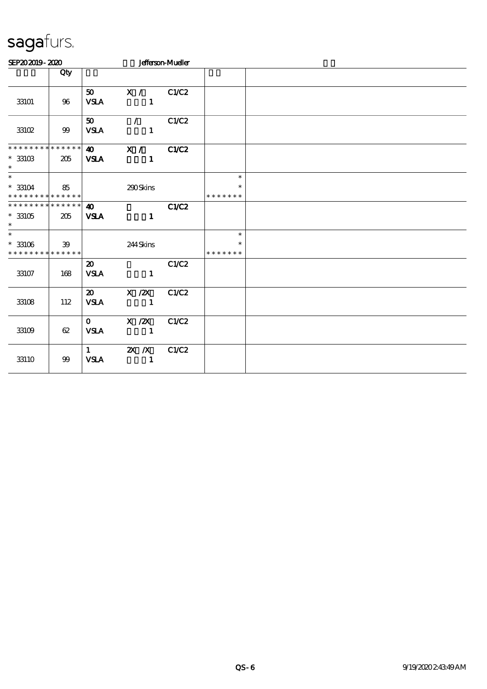| SEP202019-2020                                     |                        |                                            |                                       | <b>Jefferson-Mueller</b> |                                   |  |
|----------------------------------------------------|------------------------|--------------------------------------------|---------------------------------------|--------------------------|-----------------------------------|--|
|                                                    | Qty                    |                                            |                                       |                          |                                   |  |
| 33101                                              | 96                     | 50<br><b>VSLA</b>                          | X / C1/C2<br>$\mathbf{1}$             |                          |                                   |  |
| 33102                                              | 99                     | 50<br><b>VSLA</b>                          | $\mathcal{L}$<br>$\blacksquare$       | C1/C2                    |                                   |  |
| * * * * * * * *<br>$*33103$<br>$\ast$              | $* * * * * * *$<br>205 | <b>VSLA</b>                                | 40 X / C1/C2<br>$\mathbf{1}$          |                          |                                   |  |
| $\ast$<br>$* 33104$<br>* * * * * * * * * * * * * * | 85                     |                                            | 290Skins                              |                          | $\ast$<br>$\ast$<br>* * * * * * * |  |
| * * * * * * * * * * * * * *<br>$*33105$<br>$\ast$  | 205                    | $\boldsymbol{\omega}$<br><b>VSLA</b>       | $\mathbf{1}$                          | C1/C2                    |                                   |  |
| $*$<br>$* 33106$<br>* * * * * * * * * * * * * *    | 39                     |                                            | 244Skins                              |                          | $\ast$<br>$\ast$<br>* * * * * * * |  |
| 33107                                              | 168                    | $\boldsymbol{\mathsf{20}}$<br><b>VSLA</b>  | $\mathbf{1}$                          | C1/C2                    |                                   |  |
| 33108                                              | 112                    | $\boldsymbol{\mathfrak{D}}$<br><b>VSLA</b> | $X$ / $ZX$<br>$\sim$ $\sim$ 1         | C1/C2                    |                                   |  |
| 33109                                              | 62                     | $\mathbf{O}$<br><b>VSLA</b>                | $X$ / $ZX$<br>$\overline{\mathbf{1}}$ | C1/C2                    |                                   |  |
| $33110\,$                                          | 99                     | $\mathbf{1}$<br><b>VSLA</b>                | $X \, X$<br>$\sim$ 1                  | C1/C2                    |                                   |  |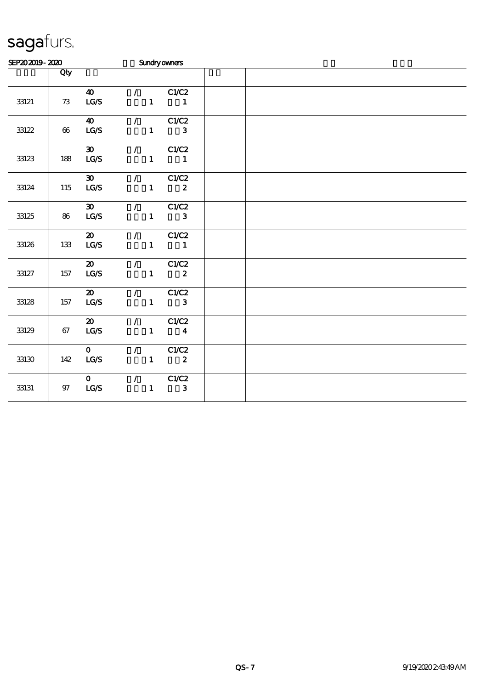| SEP202019-2020 |        |                                                         |  |                                                 | <b>Sundryowners</b>                                     |  |  |  |
|----------------|--------|---------------------------------------------------------|--|-------------------------------------------------|---------------------------------------------------------|--|--|--|
|                | Qty    |                                                         |  |                                                 |                                                         |  |  |  |
| 33121          | $73\,$ | $\boldsymbol{\omega}$<br>LG/S                           |  | $\mathcal{T} = \mathcal{F}$                     | C1/C2<br>$1 \quad 1$                                    |  |  |  |
| 33122          | 66     | <b>40</b><br>LG/S                                       |  | $\mathcal{L}$                                   | C1/C2<br>$1 \quad 3$                                    |  |  |  |
| 33123          | 188    | $\boldsymbol{\mathfrak{D}}$<br>$\mathbf{LG}\mathcal{S}$ |  |                                                 | $\sqrt{C1/C2}$<br>$1 \quad 1$                           |  |  |  |
| 33124          | 115    | $\boldsymbol{\mathfrak{D}}$<br>LCS                      |  |                                                 | $\sqrt{C1/C2}$<br>$1 \t 2$                              |  |  |  |
| 33125          | 86     | $\infty$<br>LG/S                                        |  |                                                 | $\sqrt{C1/C2}$<br>$1$ and $1$<br>$\mathbf{3}$           |  |  |  |
| 33126          | 133    | $\boldsymbol{\mathfrak{D}}$<br>LG/S                     |  | $\mathcal{L}$ and $\mathcal{L}$                 | C1/C2<br>$\begin{array}{cccc} 1 & & 1 \end{array}$      |  |  |  |
| 33127          | 157    | $\boldsymbol{\mathsf{20}}$<br>LG/S                      |  |                                                 | $\sqrt{C1/C2}$<br>$\boldsymbol{2}$<br>$1 \qquad \qquad$ |  |  |  |
| 33128          | 157    | $\boldsymbol{\mathsf{20}}$<br>LG/S                      |  | $\mathcal{L}$ and $\mathcal{L}$                 | C1/C2<br>$\mathbf{3}$<br>$1$ and $1$                    |  |  |  |
| 33129          | 67     | $\boldsymbol{\mathsf{20}}$<br>LG/S                      |  | $\mathcal{L}$ and $\mathcal{L}$                 | C1/C2<br>$1 \qquad \qquad 4$                            |  |  |  |
| 33130          | 142    | $\mathbf{O}$<br>LCS                                     |  | $\mathbf{1}$                                    | $\sqrt{C1/C2}$<br>$\overline{\mathbf{2}}$               |  |  |  |
| 33131          | 97     | $\mathbf{O}$<br>$\mathbf{LG}\mathbf{S}$                 |  | $\mathcal{T}$ and $\mathcal{T}$<br>$\mathbf{1}$ | C1/C2<br>$\mathbf{3}$                                   |  |  |  |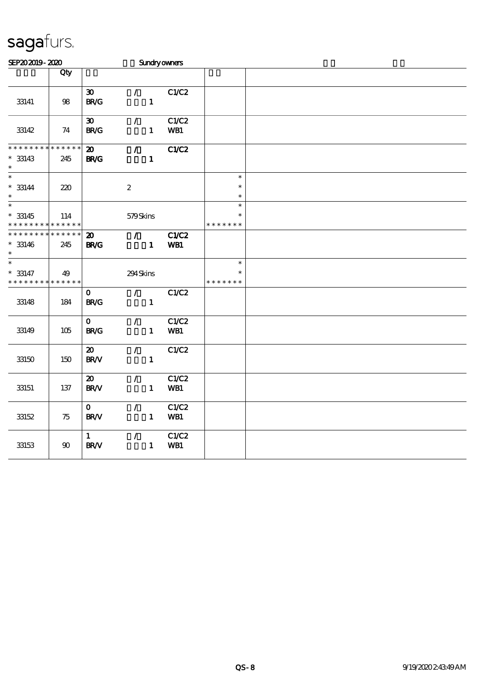| SEP202019-2020                                     |                    |                                            |                                             | Sundryowners        |                                   |  |  |  |
|----------------------------------------------------|--------------------|--------------------------------------------|---------------------------------------------|---------------------|-----------------------------------|--|--|--|
|                                                    | Qty                |                                            |                                             |                     |                                   |  |  |  |
| 33141                                              | $98\,$             | $\boldsymbol{\mathfrak{D}}$<br><b>BR/G</b> | $\mathcal{L}$<br>$\mathbf{1}$               | C1/C2               |                                   |  |  |  |
| 33142                                              | 74                 | $\boldsymbol{\mathfrak{D}}$<br><b>BR/G</b> | $\mathcal{L}$<br>$\mathbf{1}$               | C1/C2<br>WB1        |                                   |  |  |  |
| * * * * * * * * * * * * * *<br>$* 33143$<br>$\ast$ | 245                | $\boldsymbol{\mathsf{20}}$<br><b>BR/G</b>  | $\mathcal{L}$<br>$\mathbf{1}$               | <b>C1/C2</b>        |                                   |  |  |  |
| $\ast$<br>$* 33144$<br>$\ast$                      | 220                |                                            | $\boldsymbol{2}$                            |                     | $\ast$<br>$\ast$<br>$\ast$        |  |  |  |
| $\overline{\ast}$<br>$* 33145$<br>* * * * * * * *  | 114<br>* * * * * * |                                            | 579Skins                                    |                     | $\ast$<br>$\ast$<br>* * * * * * * |  |  |  |
| * * * * * * * * * * * * * *<br>$* 33146$<br>$\ast$ | 245                | $\boldsymbol{\omega}$<br><b>BR/G</b>       | $\mathcal{T} = \mathcal{I}$<br>$\mathbf{1}$ | <b>C1/C2</b><br>WB1 |                                   |  |  |  |
| $\ast$<br>$* 33147$<br>* * * * * * * *             | 49<br>* * * * * *  |                                            | 294Skins                                    |                     | $\ast$<br>$\ast$<br>* * * *       |  |  |  |
| 33148                                              | 184                | $\mathbf{O}$<br><b>BR/G</b>                | $\mathcal{L}$<br>$\mathbf{1}$               | C1/C2               |                                   |  |  |  |
| 33149                                              | 105                | $\mathbf{O}$<br><b>BR/G</b>                | $\mathcal{L}$<br>$\mathbf{1}$               | C1/C2<br>WB1        |                                   |  |  |  |
| 33150                                              | 150                | $\boldsymbol{\mathfrak{D}}$<br>BR/V        | $\mathcal{L}$<br>$\mathbf{1}$               | C1/C2               |                                   |  |  |  |
| 33151                                              | 137                | $\boldsymbol{\mathsf{20}}$<br><b>BR/V</b>  | $\mathcal{L}$<br>$\mathbf{1}$               | C1/C2<br>WB1        |                                   |  |  |  |
| 33152                                              | 75                 | $\mathbf{O}$<br><b>BR/V</b>                | $\mathcal{L}$<br>$\mathbf{1}$               | C1/C2<br>WB1        |                                   |  |  |  |
| 33153                                              | $90\,$             | $\mathbf{1}$<br>BR/V                       | $\mathcal{L}$<br>$\mathbf{1}$               | C1/C2<br>WB1        |                                   |  |  |  |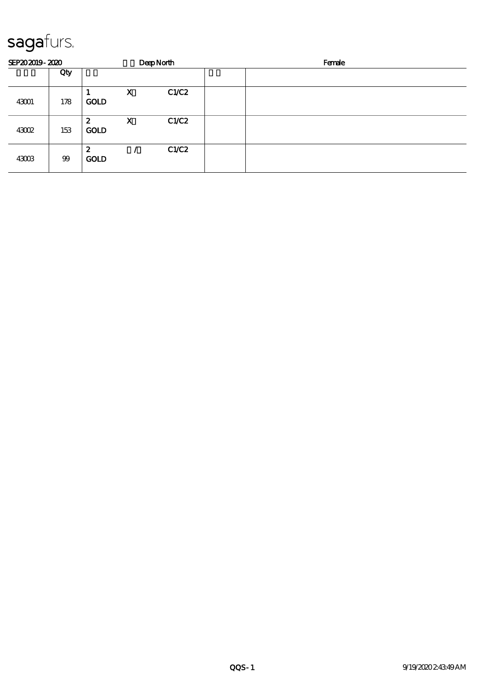| SEP202019-2020 |     |                                 |             | <b>DeepNorth</b> | Female |
|----------------|-----|---------------------------------|-------------|------------------|--------|
|                | Qty |                                 |             |                  |        |
| 43001          | 178 | <b>GOLD</b>                     | $\mathbf X$ | C1/C2            |        |
| 43002          | 153 | 2<br><b>GOLD</b>                | $\mathbf x$ | C1/C2            |        |
| 43003          | 99  | $\boldsymbol{z}$<br><b>GOLD</b> |             | C1/C2            |        |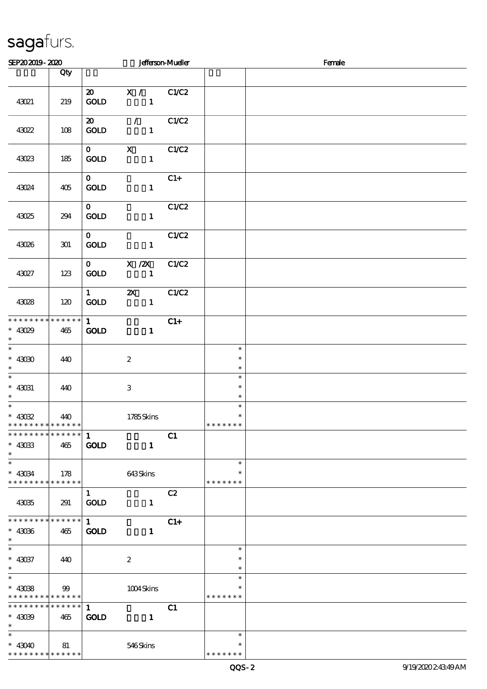| SEP202019-2020                                                               |                 |                                       |                                              | <b>Jefferson-Mueller</b> |                                   | Female |
|------------------------------------------------------------------------------|-----------------|---------------------------------------|----------------------------------------------|--------------------------|-----------------------------------|--------|
|                                                                              | Qty             |                                       |                                              |                          |                                   |        |
| 43021                                                                        | 219             | <b>GOLD</b>                           | 20 X / C1/C2<br>$\mathbf{1}$                 |                          |                                   |        |
| 43022                                                                        | 108             | $\boldsymbol{\mathsf{20}}$<br>GOLD    | $\sqrt{C1/C2}$<br>$\mathbf{1}$               |                          |                                   |        |
| 43023                                                                        | 185             | $\mathbf{0}$<br>GOLD                  | $X$ $C1/C2$<br>$\blacksquare$                |                          |                                   |        |
| 43024                                                                        | 405             | $0-1$<br><b>GOLD</b>                  | $\mathbf{1}$                                 | $C1+$                    |                                   |        |
| 43025                                                                        | 294             | $\mathbf{O}$<br>GOLD                  | $\mathbf{1}$                                 | C1/C2                    |                                   |        |
| 43026                                                                        | 301             | $\mathbf{O}$<br>$\mathbf{GOLD}$       | $\mathbf{1}$                                 | C1/C2                    |                                   |        |
| 43027                                                                        | 123             | GOLD                                  | $0 \qquad \qquad X \quad ZX$<br>$\mathbf{1}$ | C1/C2                    |                                   |        |
| 43028                                                                        | 120             | $1 \qquad \qquad$<br>GOLD             | $\mathbf{z}$                                 | C1/C2                    |                                   |        |
| * * * * * * * *<br>$* 43029$<br>$\ast$                                       | $******$<br>465 | $1 \quad \blacksquare$<br><b>GOLD</b> | $\mathbf{1}$                                 | $C1+$                    |                                   |        |
| $* 43030$<br>$\ast$                                                          | 440             |                                       | $\boldsymbol{2}$                             |                          | $\ast$<br>$\ast$<br>$\ast$        |        |
| $\overline{\phantom{0}}$<br>$\hspace{0.1cm}^*$ 43031<br>$\ast$               | 440             |                                       | $\,3$                                        |                          | $\ast$<br>$\ast$<br>$\ast$        |        |
| $* 43032$<br>* * * * * * * * <mark>* * * * * * *</mark>                      | 440             |                                       | 1785Skins                                    |                          | $\ast$<br>$\ast$<br>* * * * * * * |        |
| * * * * * * * * * * * * * * *<br>$*$ 43033<br>$\ast$                         | 465             | 1<br><b>GOLD</b>                      | $\mathbf{1}$                                 | C1                       |                                   |        |
| $\overline{\ast}$<br>$\hspace{0.1cm}^*$ 43034<br>* * * * * * * * * * * * * * | 178             |                                       | 643Skins                                     |                          | $\ast$<br>$\ast$<br>* * * * * * * |        |
| 43035                                                                        | 291             | $\mathbf{1}$<br><b>GOLD</b>           | $\mathbf{1}$                                 | C2                       |                                   |        |
| * * * * * * * * * * * * * * *<br>$* 43036$<br>$\ast$                         | 465             | 1<br><b>GOLD</b>                      | $\mathbf{1}$                                 | $C1+$                    |                                   |        |
| $\ast$<br>$^*$ 43037<br>$\ast$                                               | 440             |                                       | $\boldsymbol{2}$                             |                          | $\ast$<br>$\ast$<br>$\ast$        |        |
| $\ast$<br>$* 43038$<br>* * * * * * * * * * * * * * *                         | 99              |                                       | 1004Skins                                    |                          | $\ast$<br>$\ast$<br>* * * * * * * |        |
| * * * * * * * * * * * * * * *<br>$* 43099$<br>$\ast$                         | 465             | $\mathbf{1}$<br><b>GOLD</b>           | $\mathbf{1}$                                 | C1                       |                                   |        |
| $\ast$<br>$* 43040$<br>* * * * * * * * * * * * * *                           | 81              |                                       | 546Skins                                     |                          | $\ast$<br>$\ast$<br>* * * * * * * |        |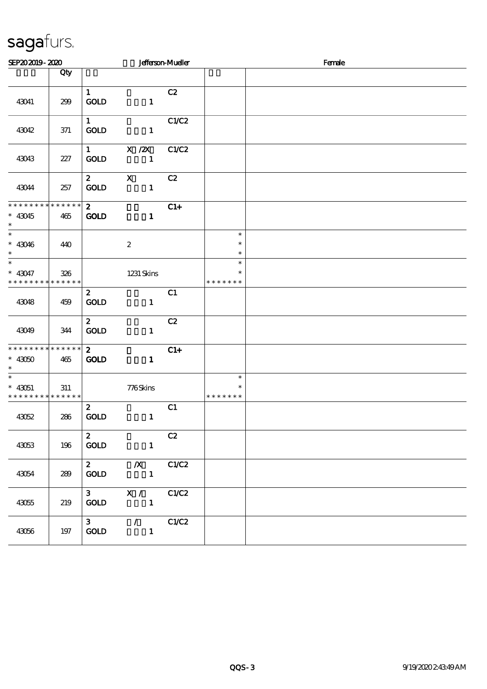| SEP202019-2020                                                       |         |                                    |                                                 | <b>Jefferson-Mueller</b> |                                   | Female |
|----------------------------------------------------------------------|---------|------------------------------------|-------------------------------------------------|--------------------------|-----------------------------------|--------|
|                                                                      | Qty     |                                    |                                                 |                          |                                   |        |
| 43041                                                                | 299     | $\mathbf{1}$<br>GOLD               | $\mathbf{1}$                                    | C2                       |                                   |        |
| 43042                                                                | 371     | $1 \quad$<br><b>GOLD</b>           | $\mathbf{1}$                                    | C1/C2                    |                                   |        |
| 43043                                                                | 227     | $1 \qquad \qquad$<br><b>GOLD</b>   | $X / ZX$ $C1/C2$<br>$\mathbf{1}$                |                          |                                   |        |
| 43044                                                                | 257     | $\mathbf{2}$<br>GOLD               | $\mathbf{X}$<br>$\mathbf{1}$                    | C2                       |                                   |        |
| * * * * * * * * * * * * * * *<br>$* 43045$<br>$\ast$                 | 465     | $\overline{2}$<br><b>GOLD</b>      | $\mathbf{1}$                                    | $C1+$                    |                                   |        |
| $\overline{\phantom{0}}$<br>$* 43046$<br>$\ast$                      | 440     |                                    | $\boldsymbol{2}$                                |                          | $\ast$<br>$\ast$<br>$\ast$        |        |
| $\ast$<br>$* 43047$<br>* * * * * * * * * * * * * *                   | 326     |                                    | 1231 Skins                                      |                          | $\ast$<br>$\ast$<br>* * * * * * * |        |
| 43048                                                                | 459     | $\mathbf{z}$<br>GOLD               | $\mathbf{1}$                                    | C1                       |                                   |        |
| 43049                                                                | 344     | $\boldsymbol{z}$<br><b>GOLD</b>    | $\mathbf{1}$                                    | C2                       |                                   |        |
| * * * * * * * * * * * * * *<br>$*$ 43050 $\,$<br>$\ast$              | 465     | $2^{\circ}$<br><b>GOLD</b>         | $\mathbf{1}$                                    | $C1+$                    |                                   |        |
| $\overline{\phantom{0}}$<br>$* 43051$<br>* * * * * * * * * * * * * * | 311     |                                    | 776Skins                                        |                          | $\ast$<br>$\ast$<br>* * * * * * * |        |
| 43052                                                                | 286     | $\mathbf{z}$<br>$\mathop{\rm GOD}$ | $\mathbf{1}$                                    | C1                       |                                   |        |
| 43053                                                                | 196     | $\mathbf{z}$<br>$\mathop{\rm GOD}$ | $\mathbf{1}$                                    | C2                       |                                   |        |
| 43054                                                                | 289     | $\mathbf{2}$<br>$\mathop{\rm GOD}$ | $\boldsymbol{X}$<br>$\mathbf{1}$                | C1/C2                    |                                   |        |
| 43055                                                                | 219     | 3 <sub>1</sub><br>GOLD             | X /<br>$\mathbf{1}$                             | C1/C2                    |                                   |        |
| 43056                                                                | $197\,$ | 3 <sub>1</sub><br><b>GOLD</b>      | $\mathcal{L}$ and $\mathcal{L}$<br>$\mathbf{1}$ | C1/C2                    |                                   |        |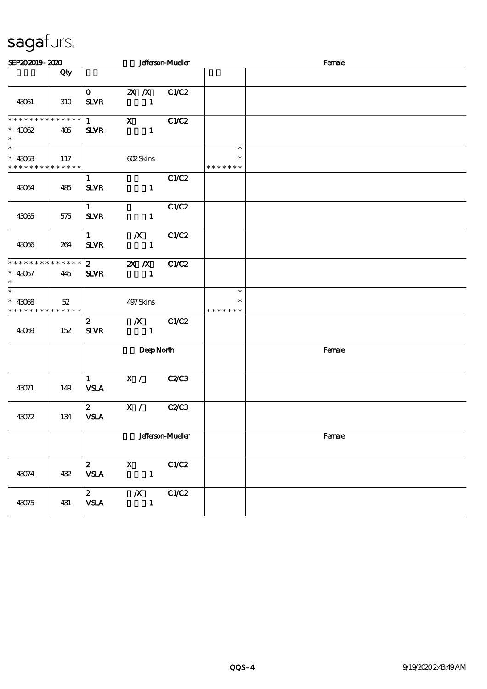| SEP202019-2020                                                         |     |                                       |                                     | <b>Jefferson-Mueller</b> |                                   | Female |  |
|------------------------------------------------------------------------|-----|---------------------------------------|-------------------------------------|--------------------------|-----------------------------------|--------|--|
|                                                                        | Qty |                                       |                                     |                          |                                   |        |  |
| 43061                                                                  | 310 | $\mathbf{O}$<br><b>SLVR</b>           | 2X / X C1/C2<br>$\mathbf{1}$        |                          |                                   |        |  |
| * * * * * * * * * * * * * *<br>$* 43062$<br>$\ast$                     | 485 | $1 \quad \blacksquare$<br><b>SLVR</b> | $\mathbf{x}$<br>$\mathbf{1}$        | C1/C2                    |                                   |        |  |
| $\overline{\phantom{0}}$<br>$* 43063$<br>* * * * * * * * * * * * * * * | 117 |                                       | 602Skins                            |                          | $\ast$<br>$\ast$<br>* * * * * * * |        |  |
| 43064                                                                  | 485 | $\mathbf{1}$<br><b>SLVR</b>           | $\mathbf{1}$                        | C1/C2                    |                                   |        |  |
| 43065                                                                  | 575 | $1 \quad$<br><b>SLVR</b>              | $\blacksquare$                      | C1/C2                    |                                   |        |  |
| 43066                                                                  | 264 | $1 \quad \blacksquare$<br><b>SLVR</b> | $/X$ $C1/C2$<br>$\blacksquare$      |                          |                                   |        |  |
| **************<br>$* 43067$<br>$\ast$                                  | 445 | $\mathbf{2}$<br><b>SLVR</b>           | <b>2X X</b> C1/C2<br>$\blacksquare$ |                          |                                   |        |  |
| $\ast$<br>$* 43068$<br>* * * * * * * * * * * * * * *                   | 52  |                                       | 497Skins                            |                          | $\ast$<br>$\ast$<br>* * * * * * * |        |  |
| 43069                                                                  | 152 | $\mathbf{z}$<br><b>SLVR</b>           | $\chi$ C1/C2<br>$\mathbf{1}$        |                          |                                   |        |  |
|                                                                        |     |                                       | DeepNorth                           |                          |                                   | Female |  |
| 43071                                                                  | 149 | $1 -$<br><b>VSLA</b>                  | X /                                 | C2C3                     |                                   |        |  |
| 43072                                                                  | 134 | $\mathbf{2}$<br><b>VSLA</b>           | X / C2/C3                           |                          |                                   |        |  |
|                                                                        |     |                                       |                                     | <b>Jefferson-Mueller</b> |                                   | Female |  |
| 43074                                                                  | 432 | $\mathbf{2}$<br><b>VSLA</b>           | $\mathbf{X}$<br>$\mathbf{1}$        | C1/C2                    |                                   |        |  |
| 43075                                                                  | 431 | $\mathbf{2}$<br><b>VSLA</b>           | $\boldsymbol{X}$<br>$\mathbf{1}$    | C1/C2                    |                                   |        |  |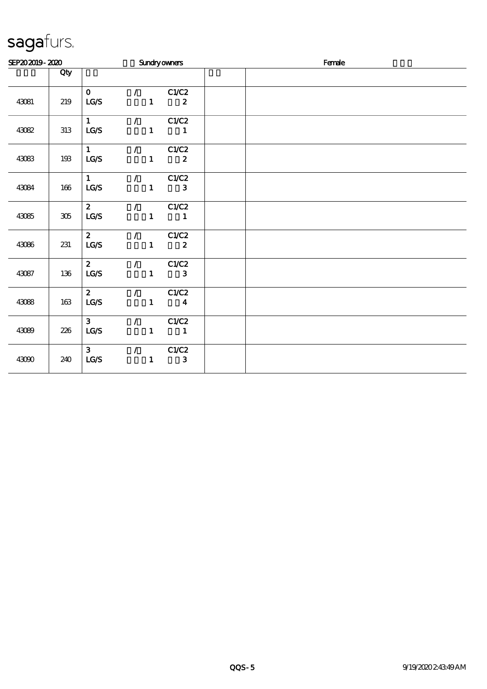| SEP202019-2020 |         |                                |                                 |                                 | <b>Sundryowners</b>                                                        | Female |
|----------------|---------|--------------------------------|---------------------------------|---------------------------------|----------------------------------------------------------------------------|--------|
|                | Qty     |                                |                                 |                                 |                                                                            |        |
| 43081          | 219     | $\mathbf{O}$<br>LG/S           |                                 | $\mathcal{L}$ and $\mathcal{L}$ | C1/C2<br>$\mathbf{1}$ and $\mathbf{1}$<br>$\boldsymbol{z}$                 |        |
| 43082          | 313     | $1 \quad \blacksquare$<br>LG/S |                                 |                                 | $\sqrt{C1/C2}$<br>$1 \quad 1$                                              |        |
| 43083          | 193     | $1 \qquad \qquad$<br>LG/S      |                                 |                                 | $\sqrt{C1/C2}$<br>$1 \t 2$                                                 |        |
| 43084          | 166     | $1 \quad \blacksquare$<br>LG/S |                                 |                                 | $\sqrt{C1/C2}$<br>$1$ and $1$<br>3                                         |        |
| 43085          | $305\,$ | $\mathbf{2}$<br>LG/S           |                                 |                                 | $\sqrt{C1/C2}$<br>$1 \quad 1$                                              |        |
| 43086          | 231     | $\mathbf{2}$<br>LG/S           |                                 |                                 | $\sqrt{C1/C2}$<br>$1$ and $1$<br>$\boldsymbol{z}$                          |        |
| 43087          | 136     | $\overline{2}$<br>LG/S         | $\mathcal{L}$ and $\mathcal{L}$ |                                 | C1/C2<br>$1$ and $1$<br>$\mathbf{3}$                                       |        |
| 43088          | 163     | $\mathbf{2}$<br>LG/S           |                                 |                                 | $\overline{C}$ C1/C2<br>$1 \qquad \qquad 4$                                |        |
| 43089          | 226     | 3 <sup>1</sup><br>LG/S         |                                 |                                 | $\sqrt{C1/C2}$<br>$\begin{array}{cccc} 1 & \hspace{1.5cm} & 1 \end{array}$ |        |
| 43090          | 240     | 3 <sup>7</sup><br>LCS          |                                 | $\mathcal{L}$<br>$\mathbf{1}$   | C1/C2<br>$\mathbf{3}$                                                      |        |